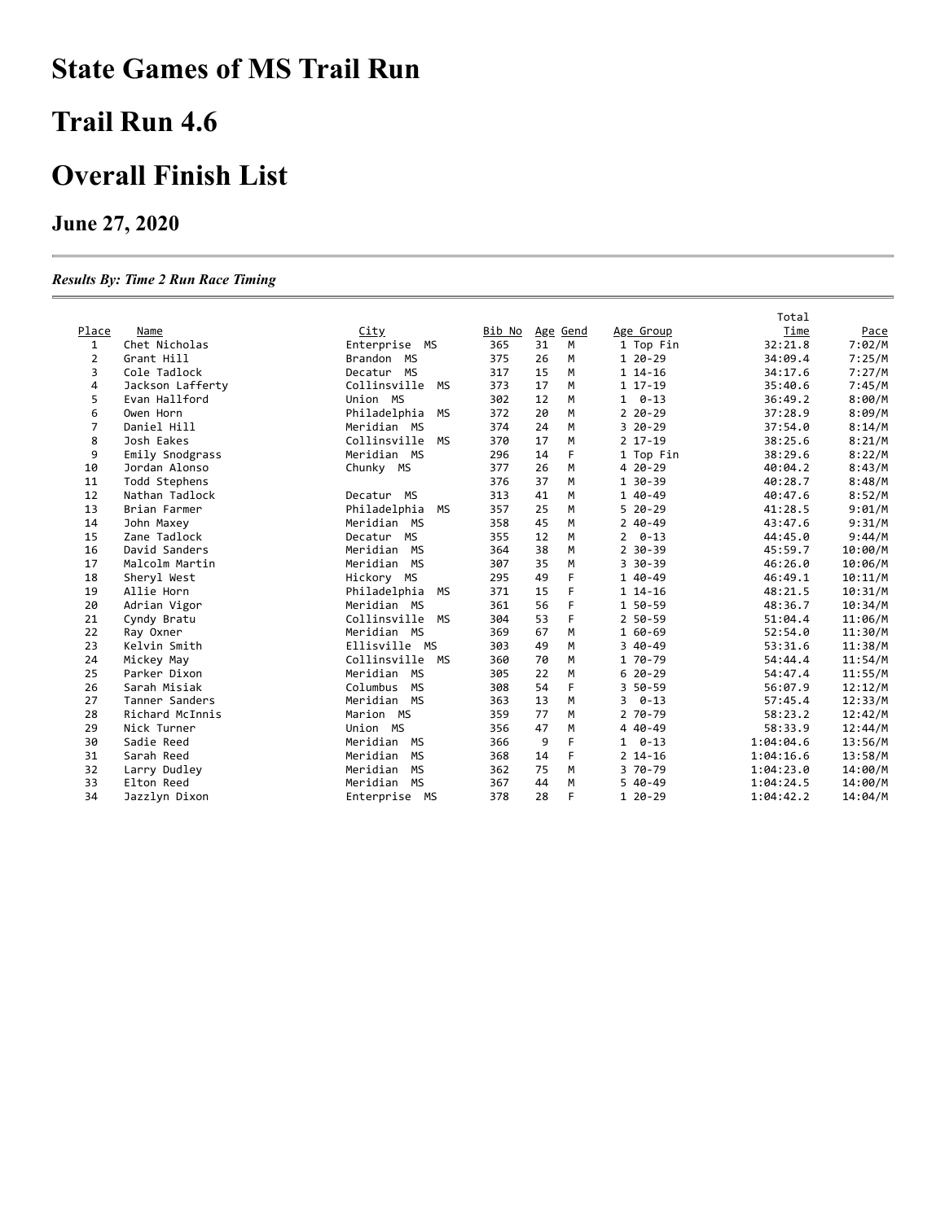# **State Games of MS Trail Run**

#### **Trail Run 4.6**

#### **Overall Finish List**

#### **June 27, 2020**

#### *Results By: Time 2 Run Race Timing*

|       |                  |                           |        |    |          |                | Total     |         |
|-------|------------------|---------------------------|--------|----|----------|----------------|-----------|---------|
| Place | Name             | City                      | Bib No |    | Age Gend | Age Group      | Time      | Pace    |
| 1     | Chet Nicholas    | Enterprise<br>MS          | 365    | 31 | M        | 1 Top Fin      | 32:21.8   | 7:02/M  |
| 2     | Grant Hill       | Brandon MS                | 375    | 26 | M        | 1 20-29        | 34:09.4   | 7:25/M  |
| 3     | Cole Tadlock     | Decatur MS                | 317    | 15 | M        | 1 14-16        | 34:17.6   | 7:27/M  |
| 4     | Jackson Lafferty | Collinsville<br>MS        | 373    | 17 | M        | 1 17-19        | 35:40.6   | 7:45/M  |
| 5     | Evan Hallford    | Union MS                  | 302    | 12 | M        | $1 \quad 0-13$ | 36:49.2   | 8:00/M  |
| 6     | Owen Horn        | Philadelphia<br>МS        | 372    | 20 | M        | $220 - 29$     | 37:28.9   | 8:09/M  |
| 7     | Daniel Hill      | Meridian MS               | 374    | 24 | M        | $320 - 29$     | 37:54.0   | 8:14/M  |
| 8     | Josh Eakes       | Collinsville<br><b>MS</b> | 370    | 17 | M        | $2$ 17-19      | 38:25.6   | 8:21/M  |
| 9     | Emily Snodgrass  | Meridian MS               | 296    | 14 | F        | 1 Top Fin      | 38:29.6   | 8:22/M  |
| 10    | Jordan Alonso    | Chunky MS                 | 377    | 26 | M        | 4 20 - 29      | 40:04.2   | 8:43/M  |
| 11    | Todd Stephens    |                           | 376    | 37 | M        | 1 30-39        | 40:28.7   | 8:48/M  |
| 12    | Nathan Tadlock   | Decatur MS                | 313    | 41 | M        | 1 40-49        | 40:47.6   | 8:52/M  |
| 13    | Brian Farmer     | Philadelphia<br>MS        | 357    | 25 | M        | $520-29$       | 41:28.5   | 9:01/M  |
| 14    | John Maxey       | Meridian MS               | 358    | 45 | M        | $240 - 49$     | 43:47.6   | 9:31/M  |
| 15    | Zane Tadlock     | Decatur MS                | 355    | 12 | M        | $2 \quad 0-13$ | 44:45.0   | 9:44/M  |
| 16    | David Sanders    | Meridian MS               | 364    | 38 | М        | $2$ 30-39      | 45:59.7   | 10:00/M |
| 17    | Malcolm Martin   | Meridian MS               | 307    | 35 | М        | 3 30 - 39      | 46:26.0   | 10:06/M |
| 18    | Sheryl West      | Hickory MS                | 295    | 49 | F        | 1 40-49        | 46:49.1   | 10:11/M |
| 19    | Allie Horn       | Philadelphia<br>MS        | 371    | 15 | F        | $114 - 16$     | 48:21.5   | 10:31/M |
| 20    | Adrian Vigor     | Meridian MS               | 361    | 56 | F        | 1 50-59        | 48:36.7   | 10:34/M |
| 21    | Cyndy Bratu      | Collinsville<br><b>MS</b> | 304    | 53 | E        | 2 50-59        | 51:04.4   | 11:06/M |
| 22    | Ray Oxner        | Meridian MS               | 369    | 67 | M        | 1 60-69        | 52:54.0   | 11:30/M |
| 23    | Kelvin Smith     | Ellisville MS             | 303    | 49 | M        | $340-49$       | 53:31.6   | 11:38/M |
| 24    | Mickey May       | Collinsville MS           | 360    | 70 | M        | 1 70-79        | 54:44.4   | 11:54/M |
| 25    | Parker Dixon     | Meridian MS               | 305    | 22 | M        | $620-29$       | 54:47.4   | 11:55/M |
| 26    | Sarah Misiak     | Columbus<br><b>MS</b>     | 308    | 54 | F        | 3 50-59        | 56:07.9   | 12:12/M |
| 27    | Tanner Sanders   | Meridian MS               | 363    | 13 | M        | $30 - 13$      | 57:45.4   | 12:33/M |
| 28    | Richard McInnis  | Marion MS                 | 359    | 77 | M        | 2 70-79        | 58:23.2   | 12:42/M |
| 29    | Nick Turner      | Union MS                  | 356    | 47 | м        | 4 40 - 49      | 58:33.9   | 12:44/M |
| 30    | Sadie Reed       | Meridian MS               | 366    | 9  | F        | $1 \quad 0-13$ | 1:04:04.6 | 13:56/M |
| 31    | Sarah Reed       | Meridian<br>MS            | 368    | 14 | F        | $2$ 14-16      | 1:04:16.6 | 13:58/M |
| 32    | Larry Dudley     | Meridian<br>MS            | 362    | 75 | M        | 3 70-79        | 1:04:23.0 | 14:00/M |
| 33    | Elton Reed       | Meridian<br><b>MS</b>     | 367    | 44 | M        | $540-49$       | 1:04:24.5 | 14:00/M |
| 34    | Jazzlyn Dixon    | Enterprise MS             | 378    | 28 | F        | 1 20-29        | 1:04:42.2 | 14:04/M |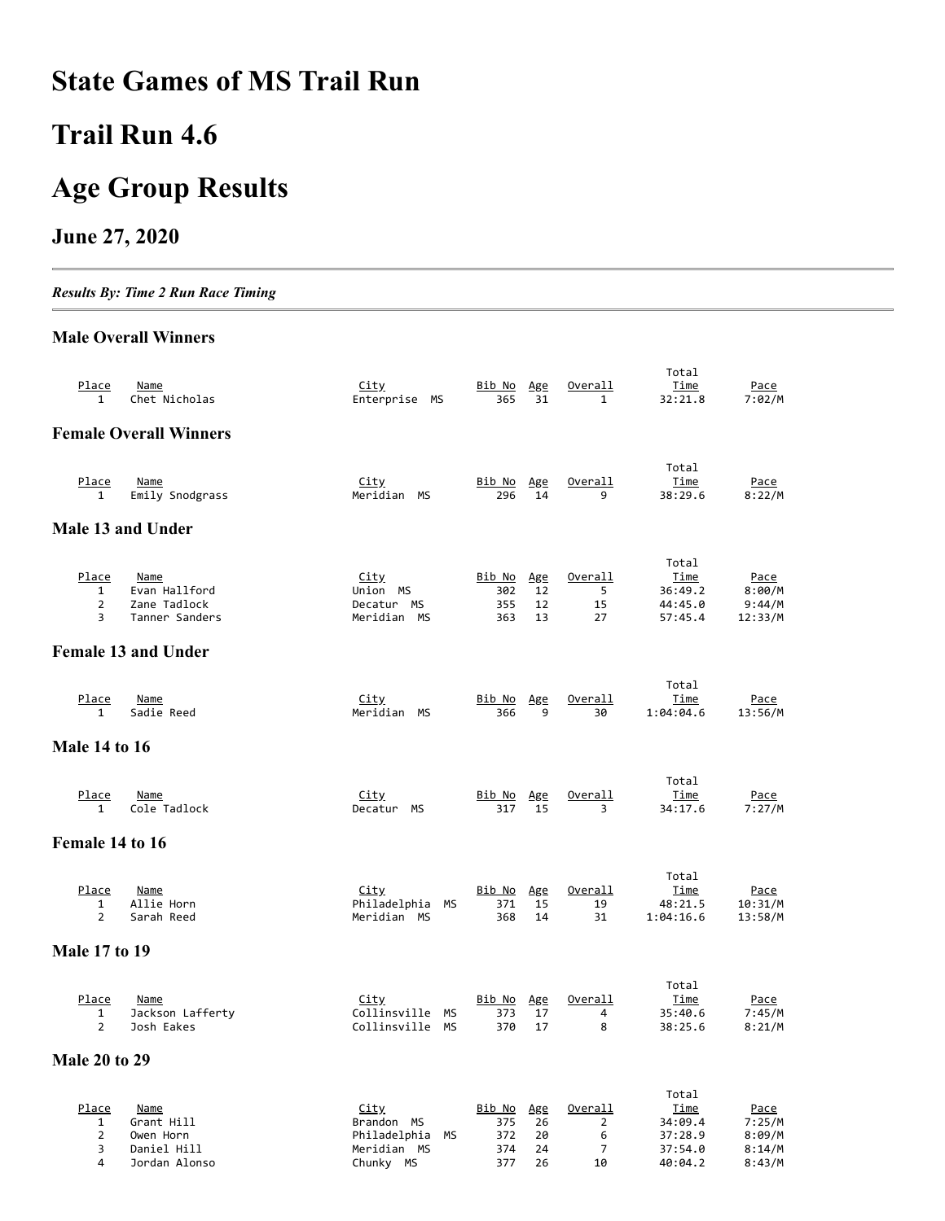# **State Games of MS Trail Run**

# **Trail Run 4.6**

# **Age Group Results**

#### **June 27, 2020**

*Results By: Time 2 Run Race Timing*

#### **Male Overall Winners**

| Place<br>1                                   | Name<br>Chet Nicholas                                          | <u>City</u><br>Enterprise MS                                          | <u>Bib No</u><br>365               | Age<br>31             | Overall<br>$\mathbf{1}$                    | Total<br>Time<br>32:21.8                              | Pace<br>7:02/M                            |
|----------------------------------------------|----------------------------------------------------------------|-----------------------------------------------------------------------|------------------------------------|-----------------------|--------------------------------------------|-------------------------------------------------------|-------------------------------------------|
|                                              | <b>Female Overall Winners</b>                                  |                                                                       |                                    |                       |                                            |                                                       |                                           |
| Place<br>1                                   | Name<br>Emily Snodgrass                                        | <u>City</u><br>Meridian MS                                            | Bib No<br>296                      | Age<br>14             | Overall<br>9                               | Total<br>Time<br>38:29.6                              | Pace<br>8:22/M                            |
|                                              | Male 13 and Under                                              |                                                                       |                                    |                       |                                            |                                                       |                                           |
| Place<br>$\mathbf{1}$<br>$\overline{2}$<br>3 | <b>Name</b><br>Evan Hallford<br>Zane Tadlock<br>Tanner Sanders | <u>City</u><br>Union MS<br>Decatur MS<br>Meridian MS                  | <u>Bib No</u><br>302<br>355<br>363 | Age<br>12<br>12<br>13 | Overall<br>5<br>15<br>27                   | Total<br>Time<br>36:49.2<br>44:45.0<br>57:45.4        | Pace<br>8:00/M<br>9:44/M<br>12:33/M       |
|                                              | <b>Female 13 and Under</b>                                     |                                                                       |                                    |                       |                                            |                                                       |                                           |
| Place<br>1                                   | Name<br>Sadie Reed                                             | <u>City</u><br>Meridian MS                                            | Bib No<br>366                      | Age<br>9              | Overall<br>30                              | Total<br>Time<br>1:04:04.6                            | Pace<br>13:56/M                           |
| <b>Male 14 to 16</b>                         |                                                                |                                                                       |                                    |                       |                                            |                                                       |                                           |
| Place<br>1                                   | <b>Name</b><br>Cole Tadlock                                    | <u>City</u><br>Decatur MS                                             | <u>Bib No</u><br>317               | Age<br>15             | Overall<br>3                               | Total<br><u>Time</u><br>34:17.6                       | Pace<br>7:27/M                            |
| Female 14 to 16                              |                                                                |                                                                       |                                    |                       |                                            |                                                       |                                           |
| Place<br>1<br>$\overline{2}$                 | <b>Name</b><br>Allie Horn<br>Sarah Reed                        | <u>City</u><br>Philadelphia<br>MS<br>Meridian MS                      | Bib No<br>371<br>368               | Age<br>15<br>14       | Overall<br>19<br>31                        | Total<br><u>Time</u><br>48:21.5<br>1:04:16.6          | Pace<br>10:31/M<br>13:58/M                |
| <b>Male 17 to 19</b>                         |                                                                |                                                                       |                                    |                       |                                            |                                                       |                                           |
| Place<br>$\mathbf{1}$<br>$\overline{2}$      | <u>Name</u><br>Jackson Lafferty<br>Josh Eakes                  | <u>City</u><br>Collinsville MS<br>Collinsville MS                     | <u>Bib No</u><br>373<br>370        | Age<br>17<br>17       | Overall<br>4<br>8                          | Total<br><u>Time</u><br>35:40.6<br>38:25.6            | <u>Pace</u><br>7:45/M<br>8:21/M           |
| <b>Male 20 to 29</b>                         |                                                                |                                                                       |                                    |                       |                                            |                                                       |                                           |
| Place<br>1<br>$\overline{2}$<br>3            | <u>Name</u><br>Grant Hill<br>Owen Horn<br>Daniel Hill          | <u>City</u><br>Brandon MS<br>Philadelphia<br><b>MS</b><br>Meridian MS | <u>Bib No</u><br>375<br>372<br>374 | Age<br>26<br>20<br>24 | <u>Overall</u><br>$\overline{2}$<br>6<br>7 | Total<br><u>Time</u><br>34:09.4<br>37:28.9<br>37:54.0 | <u>Pace</u><br>7:25/M<br>8:09/M<br>8:14/M |

4 Jordan Alonso Chunky MS 377 26 10 40:04.2 8:43/M